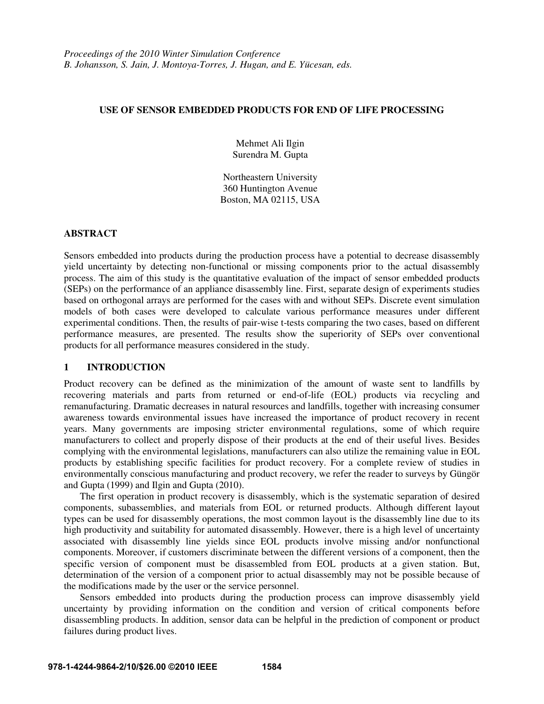### **USE OF SENSOR EMBEDDED PRODUCTS FOR END OF LIFE PROCESSING**

Mehmet Ali Ilgin Surendra M. Gupta

Northeastern University 360 Huntington Avenue Boston, MA 02115, USA

### **ABSTRACT**

Sensors embedded into products during the production process have a potential to decrease disassembly yield uncertainty by detecting non-functional or missing components prior to the actual disassembly process. The aim of this study is the quantitative evaluation of the impact of sensor embedded products (SEPs) on the performance of an appliance disassembly line. First, separate design of experiments studies based on orthogonal arrays are performed for the cases with and without SEPs. Discrete event simulation models of both cases were developed to calculate various performance measures under different experimental conditions. Then, the results of pair-wise t-tests comparing the two cases, based on different performance measures, are presented. The results show the superiority of SEPs over conventional products for all performance measures considered in the study.

# **1 INTRODUCTION**

Product recovery can be defined as the minimization of the amount of waste sent to landfills by recovering materials and parts from returned or end-of-life (EOL) products via recycling and remanufacturing. Dramatic decreases in natural resources and landfills, together with increasing consumer awareness towards environmental issues have increased the importance of product recovery in recent years. Many governments are imposing stricter environmental regulations, some of which require manufacturers to collect and properly dispose of their products at the end of their useful lives. Besides complying with the environmental legislations, manufacturers can also utilize the remaining value in EOL products by establishing specific facilities for product recovery. For a complete review of studies in environmentally conscious manufacturing and product recovery, we refer the reader to surveys by Güngör and Gupta (1999) and Ilgin and Gupta (2010).

 The first operation in product recovery is disassembly, which is the systematic separation of desired components, subassemblies, and materials from EOL or returned products. Although different layout types can be used for disassembly operations, the most common layout is the disassembly line due to its high productivity and suitability for automated disassembly. However, there is a high level of uncertainty associated with disassembly line yields since EOL products involve missing and/or nonfunctional components. Moreover, if customers discriminate between the different versions of a component, then the specific version of component must be disassembled from EOL products at a given station. But, determination of the version of a component prior to actual disassembly may not be possible because of the modifications made by the user or the service personnel.

 Sensors embedded into products during the production process can improve disassembly yield uncertainty by providing information on the condition and version of critical components before disassembling products. In addition, sensor data can be helpful in the prediction of component or product failures during product lives.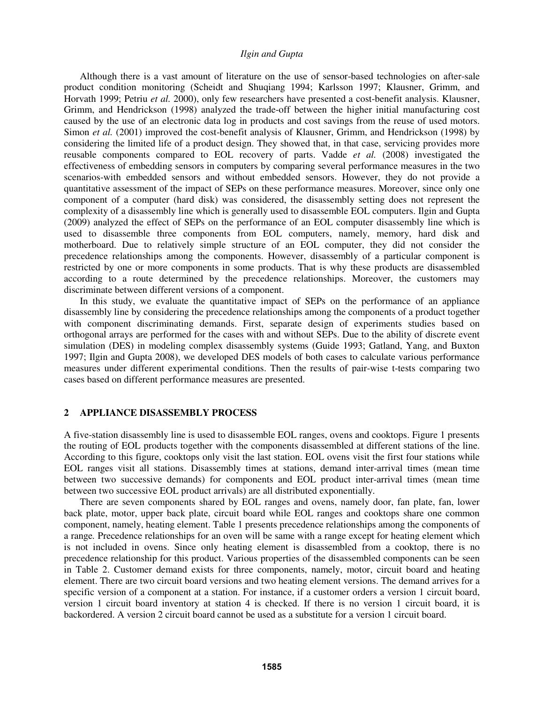Although there is a vast amount of literature on the use of sensor-based technologies on after-sale product condition monitoring (Scheidt and Shuqiang 1994; Karlsson 1997; Klausner, Grimm, and Horvath 1999; Petriu *et al.* 2000), only few researchers have presented a cost-benefit analysis. Klausner, Grimm, and Hendrickson (1998) analyzed the trade-off between the higher initial manufacturing cost caused by the use of an electronic data log in products and cost savings from the reuse of used motors. Simon *et al.* (2001) improved the cost-benefit analysis of Klausner, Grimm, and Hendrickson (1998) by considering the limited life of a product design. They showed that, in that case, servicing provides more reusable components compared to EOL recovery of parts. Vadde *et al.* (2008) investigated the effectiveness of embedding sensors in computers by comparing several performance measures in the two scenarios-with embedded sensors and without embedded sensors. However, they do not provide a quantitative assessment of the impact of SEPs on these performance measures. Moreover, since only one component of a computer (hard disk) was considered, the disassembly setting does not represent the complexity of a disassembly line which is generally used to disassemble EOL computers. Ilgin and Gupta (2009) analyzed the effect of SEPs on the performance of an EOL computer disassembly line which is used to disassemble three components from EOL computers, namely, memory, hard disk and motherboard. Due to relatively simple structure of an EOL computer, they did not consider the precedence relationships among the components. However, disassembly of a particular component is restricted by one or more components in some products. That is why these products are disassembled according to a route determined by the precedence relationships. Moreover, the customers may discriminate between different versions of a component.

 In this study, we evaluate the quantitative impact of SEPs on the performance of an appliance disassembly line by considering the precedence relationships among the components of a product together with component discriminating demands. First, separate design of experiments studies based on orthogonal arrays are performed for the cases with and without SEPs. Due to the ability of discrete event simulation (DES) in modeling complex disassembly systems (Guide 1993; Gatland, Yang, and Buxton 1997; Ilgin and Gupta 2008), we developed DES models of both cases to calculate various performance measures under different experimental conditions. Then the results of pair-wise t-tests comparing two cases based on different performance measures are presented.

### **2 APPLIANCE DISASSEMBLY PROCESS**

A five-station disassembly line is used to disassemble EOL ranges, ovens and cooktops. Figure 1 presents the routing of EOL products together with the components disassembled at different stations of the line. According to this figure, cooktops only visit the last station. EOL ovens visit the first four stations while EOL ranges visit all stations. Disassembly times at stations, demand inter-arrival times (mean time between two successive demands) for components and EOL product inter-arrival times (mean time between two successive EOL product arrivals) are all distributed exponentially.

 There are seven components shared by EOL ranges and ovens, namely door, fan plate, fan, lower back plate, motor, upper back plate, circuit board while EOL ranges and cooktops share one common component, namely, heating element. Table 1 presents precedence relationships among the components of a range*.* Precedence relationships for an oven will be same with a range except for heating element which is not included in ovens. Since only heating element is disassembled from a cooktop, there is no precedence relationship for this product. Various properties of the disassembled components can be seen in Table 2. Customer demand exists for three components, namely, motor, circuit board and heating element. There are two circuit board versions and two heating element versions. The demand arrives for a specific version of a component at a station. For instance, if a customer orders a version 1 circuit board, version 1 circuit board inventory at station 4 is checked. If there is no version 1 circuit board, it is backordered. A version 2 circuit board cannot be used as a substitute for a version 1 circuit board.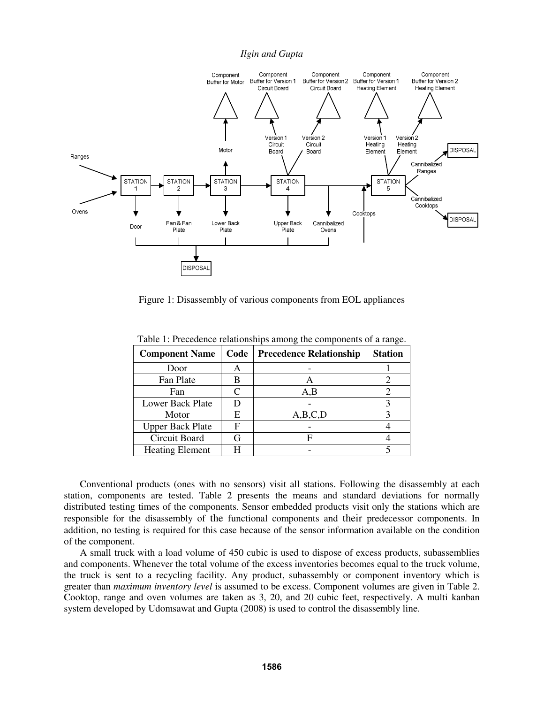

Figure 1: Disassembly of various components from EOL appliances

| <b>Component Name</b>   | Code | <b>Precedence Relationship</b> | <b>Station</b> |
|-------------------------|------|--------------------------------|----------------|
| Door                    | А    |                                |                |
| Fan Plate               | В    |                                |                |
| Fan                     | C    | A,B                            |                |
| Lower Back Plate        | D    |                                |                |
| Motor                   | Е    | A,B,C,D                        |                |
| <b>Upper Back Plate</b> | F    |                                |                |
| Circuit Board           | G    |                                |                |
| <b>Heating Element</b>  | H    |                                |                |

Table 1: Precedence relationships among the components of a range.

 Conventional products (ones with no sensors) visit all stations. Following the disassembly at each station, components are tested. Table 2 presents the means and standard deviations for normally distributed testing times of the components. Sensor embedded products visit only the stations which are responsible for the disassembly of the functional components and their predecessor components. In addition, no testing is required for this case because of the sensor information available on the condition of the component.

 A small truck with a load volume of 450 cubic is used to dispose of excess products, subassemblies and components. Whenever the total volume of the excess inventories becomes equal to the truck volume, the truck is sent to a recycling facility. Any product, subassembly or component inventory which is greater than *maximum inventory level* is assumed to be excess. Component volumes are given in Table 2. Cooktop, range and oven volumes are taken as 3, 20, and 20 cubic feet, respectively. A multi kanban system developed by Udomsawat and Gupta (2008) is used to control the disassembly line.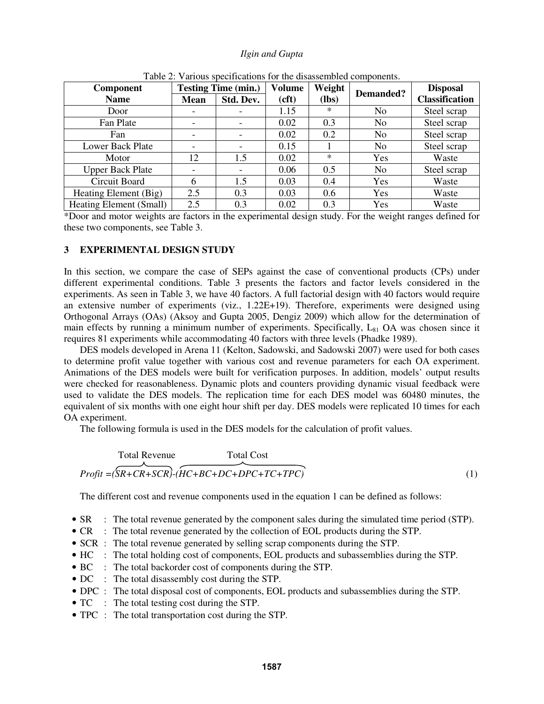| <b>Component</b>               | <b>Testing Time (min.)</b> |           | Volume | Weight | Demanded?      | <b>Disposal</b>       |  |  |
|--------------------------------|----------------------------|-----------|--------|--------|----------------|-----------------------|--|--|
| <b>Name</b>                    | <b>Mean</b>                | Std. Dev. | (cft)  | (lbs)  |                | <b>Classification</b> |  |  |
| Door                           |                            |           | 1.15   | $\ast$ | N <sub>0</sub> | Steel scrap           |  |  |
| Fan Plate                      | -                          | ۰         | 0.02   | 0.3    | N <sub>0</sub> | Steel scrap           |  |  |
| Fan                            |                            |           | 0.02   | 0.2    | N <sub>0</sub> | Steel scrap           |  |  |
| <b>Lower Back Plate</b>        | $\overline{\phantom{0}}$   |           | 0.15   |        | N <sub>0</sub> | Steel scrap           |  |  |
| Motor                          | 12                         | 1.5       | 0.02   | $\ast$ | Yes            | Waste                 |  |  |
| <b>Upper Back Plate</b>        |                            |           | 0.06   | 0.5    | N <sub>0</sub> | Steel scrap           |  |  |
| Circuit Board                  | 6                          | 1.5       | 0.03   | 0.4    | Yes            | Waste                 |  |  |
| Heating Element (Big)          | 2.5                        | 0.3       | 0.03   | 0.6    | Yes            | Waste                 |  |  |
| <b>Heating Element (Small)</b> | 2.5                        | 0.3       | 0.02   | 0.3    | <b>Yes</b>     | Waste                 |  |  |

Table 2: Various specifications for the disassembled components.

\*Door and motor weights are factors in the experimental design study. For the weight ranges defined for these two components, see Table 3.

# **3 EXPERIMENTAL DESIGN STUDY**

In this section, we compare the case of SEPs against the case of conventional products (CPs) under different experimental conditions. Table 3 presents the factors and factor levels considered in the experiments. As seen in Table 3, we have 40 factors. A full factorial design with 40 factors would require an extensive number of experiments (viz., 1.22E+19). Therefore, experiments were designed using Orthogonal Arrays (OAs) (Aksoy and Gupta 2005, Dengiz 2009) which allow for the determination of main effects by running a minimum number of experiments. Specifically,  $L_{81}$  OA was chosen since it requires 81 experiments while accommodating 40 factors with three levels (Phadke 1989).

 DES models developed in Arena 11 (Kelton, Sadowski, and Sadowski 2007) were used for both cases to determine profit value together with various cost and revenue parameters for each OA experiment. Animations of the DES models were built for verification purposes. In addition, models' output results were checked for reasonableness. Dynamic plots and counters providing dynamic visual feedback were used to validate the DES models. The replication time for each DES model was 60480 minutes, the equivalent of six months with one eight hour shift per day. DES models were replicated 10 times for each OA experiment.

The following formula is used in the DES models for the calculation of profit values.

Total Revenue  
\n
$$
Profit = (SR + CR + SCR) \cdot (HC + BC + DC + DPC + TC + TPC)
$$
\n(1)

The different cost and revenue components used in the equation 1 can be defined as follows:

- SR : The total revenue generated by the component sales during the simulated time period (STP).
- CR : The total revenue generated by the collection of EOL products during the STP.
- SCR : The total revenue generated by selling scrap components during the STP.
- HC : The total holding cost of components, EOL products and subassemblies during the STP.
- BC : The total backorder cost of components during the STP.
- DC : The total disassembly cost during the STP.
- DPC : The total disposal cost of components, EOL products and subassemblies during the STP.
- TC : The total testing cost during the STP.
- TPC : The total transportation cost during the STP.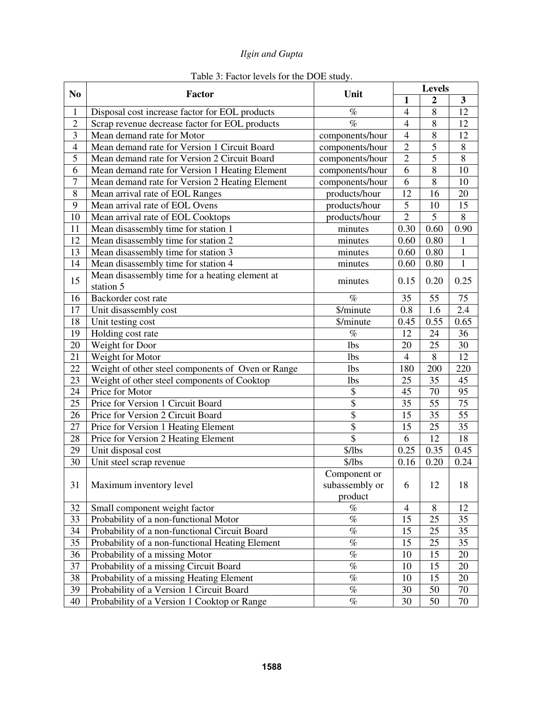| N <sub>0</sub>          | <b>Factor</b>                                               | Unit            | <b>Levels</b>  |                                                                                                                                                                                                                                                |                 |
|-------------------------|-------------------------------------------------------------|-----------------|----------------|------------------------------------------------------------------------------------------------------------------------------------------------------------------------------------------------------------------------------------------------|-----------------|
|                         |                                                             |                 | $\mathbf{1}$   | $\boldsymbol{2}$                                                                                                                                                                                                                               | 3               |
| $\mathbf{1}$            | Disposal cost increase factor for EOL products              | $\%$            | $\overline{4}$ |                                                                                                                                                                                                                                                | 12              |
| $\overline{2}$          | Scrap revenue decrease factor for EOL products              | $\%$            | $\overline{4}$ |                                                                                                                                                                                                                                                | 12              |
| $\overline{\mathbf{3}}$ | Mean demand rate for Motor                                  | components/hour | $\overline{4}$ |                                                                                                                                                                                                                                                | 12              |
| $\overline{4}$          | Mean demand rate for Version 1 Circuit Board                | components/hour | $\overline{2}$ |                                                                                                                                                                                                                                                | $\,8\,$         |
| $\overline{5}$          | Mean demand rate for Version 2 Circuit Board                | components/hour | $\overline{2}$ |                                                                                                                                                                                                                                                | $\overline{8}$  |
| 6                       | Mean demand rate for Version 1 Heating Element              | components/hour | 6              |                                                                                                                                                                                                                                                | 10              |
| $\boldsymbol{7}$        | Mean demand rate for Version 2 Heating Element              | components/hour | 6              |                                                                                                                                                                                                                                                | 10              |
| 8                       | Mean arrival rate of EOL Ranges                             | products/hour   | 12             | 16                                                                                                                                                                                                                                             | 20              |
| 9                       | Mean arrival rate of EOL Ovens                              | products/hour   | $\overline{5}$ | 10                                                                                                                                                                                                                                             | 15              |
| 10                      | Mean arrival rate of EOL Cooktops                           | products/hour   | $\overline{2}$ |                                                                                                                                                                                                                                                | 8               |
| 11                      | Mean disassembly time for station 1                         | minutes         | 0.30           | 0.60                                                                                                                                                                                                                                           | 0.90            |
| 12                      | Mean disassembly time for station 2                         | minutes         | 0.60           | 0.80                                                                                                                                                                                                                                           | $\mathbf{1}$    |
| 13                      | Mean disassembly time for station 3                         | minutes         | 0.60           | 0.80                                                                                                                                                                                                                                           | $\mathbf{1}$    |
| 14                      | Mean disassembly time for station 4                         | minutes         | 0.60           | 0.80                                                                                                                                                                                                                                           | $\mathbf{1}$    |
| 15                      | Mean disassembly time for a heating element at<br>station 5 | minutes         | 0.15           | 0.20                                                                                                                                                                                                                                           | 0.25            |
| 16                      | Backorder cost rate                                         | $\%$            | 35             |                                                                                                                                                                                                                                                | 75              |
| 17                      | Unit disassembly cost                                       | \$/minute       | 0.8            |                                                                                                                                                                                                                                                | 2.4             |
| 18                      | Unit testing cost                                           | \$/minute       | 0.45           |                                                                                                                                                                                                                                                | 0.65            |
| 19                      | Holding cost rate                                           | $\%$            | 12             |                                                                                                                                                                                                                                                | 36              |
| 20                      | Weight for Door                                             | <b>lbs</b>      | 20             |                                                                                                                                                                                                                                                | $30\,$          |
| 21                      | Weight for Motor                                            | <b>lbs</b>      | $\overline{4}$ |                                                                                                                                                                                                                                                | 12              |
| 22                      | Weight of other steel components of Oven or Range           | <b>lbs</b>      | 180            |                                                                                                                                                                                                                                                | 220             |
| 23                      | Weight of other steel components of Cooktop                 | <b>lbs</b>      | 25             |                                                                                                                                                                                                                                                | 45              |
| 24                      | Price for Motor                                             | \$              | 45             |                                                                                                                                                                                                                                                | 95              |
| 25                      | Price for Version 1 Circuit Board                           | \$              | 35             |                                                                                                                                                                                                                                                | 75              |
| 26                      | Price for Version 2 Circuit Board                           | \$              | 15             |                                                                                                                                                                                                                                                | $\overline{55}$ |
| 27                      | Price for Version 1 Heating Element                         | \$              | 15             |                                                                                                                                                                                                                                                | 35              |
| 28                      | Price for Version 2 Heating Element                         | \$              | 6              |                                                                                                                                                                                                                                                | 18              |
| 29                      | Unit disposal cost                                          | \$/lbs          | 0.25           |                                                                                                                                                                                                                                                | 0.45            |
| 30                      | Unit steel scrap revenue                                    | \$/lbs          | 0.16           |                                                                                                                                                                                                                                                | 0.24            |
|                         |                                                             | Component or    |                |                                                                                                                                                                                                                                                |                 |
| 31                      | Maximum inventory level                                     | subassembly or  | 6              | 12                                                                                                                                                                                                                                             | 18              |
|                         |                                                             | product         |                | 8<br>8<br>$\overline{8}$<br>$\overline{5}$<br>$\overline{5}$<br>8<br>8<br>$\overline{5}$<br>55<br>1.6<br>0.55<br>24<br>25<br>8<br>200<br>35<br>70<br>55<br>35<br>25<br>12<br>0.35<br>0.20<br>8<br>25<br>25<br>25<br>15<br>15<br>15<br>50<br>50 |                 |
| 32                      | Small component weight factor                               | $\%$            | $\overline{4}$ |                                                                                                                                                                                                                                                | 12              |
| 33                      | Probability of a non-functional Motor                       | $\%$            | 15             |                                                                                                                                                                                                                                                | 35              |
| 34                      | Probability of a non-functional Circuit Board               | $\%$            | 15             |                                                                                                                                                                                                                                                | 35              |
| 35                      | Probability of a non-functional Heating Element             | $\%$            | 15             |                                                                                                                                                                                                                                                | 35              |
| 36                      | Probability of a missing Motor                              | $\%$            | 10             |                                                                                                                                                                                                                                                | 20              |
| 37                      | Probability of a missing Circuit Board                      | $\%$            | 10             |                                                                                                                                                                                                                                                | 20              |
| 38                      | Probability of a missing Heating Element                    | $\%$            | 10             |                                                                                                                                                                                                                                                | 20              |
| 39                      | Probability of a Version 1 Circuit Board                    | $\%$            | 30             |                                                                                                                                                                                                                                                | 70              |
| 40                      | Probability of a Version 1 Cooktop or Range                 | $\%$            | 30             |                                                                                                                                                                                                                                                | 70              |

# Table 3: Factor levels for the DOE study.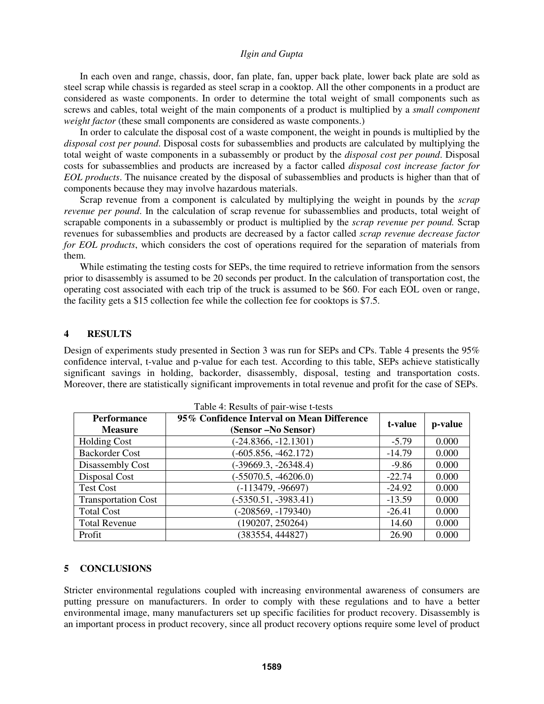In each oven and range, chassis, door, fan plate, fan, upper back plate, lower back plate are sold as steel scrap while chassis is regarded as steel scrap in a cooktop. All the other components in a product are considered as waste components. In order to determine the total weight of small components such as screws and cables, total weight of the main components of a product is multiplied by a *small component weight factor* (these small components are considered as waste components.)

 In order to calculate the disposal cost of a waste component, the weight in pounds is multiplied by the *disposal cost per pound*. Disposal costs for subassemblies and products are calculated by multiplying the total weight of waste components in a subassembly or product by the *disposal cost per pound*. Disposal costs for subassemblies and products are increased by a factor called *disposal cost increase factor for EOL products*. The nuisance created by the disposal of subassemblies and products is higher than that of components because they may involve hazardous materials.

Scrap revenue from a component is calculated by multiplying the weight in pounds by the *scrap revenue per pound*. In the calculation of scrap revenue for subassemblies and products, total weight of scrapable components in a subassembly or product is multiplied by the *scrap revenue per pound.* Scrap revenues for subassemblies and products are decreased by a factor called *scrap revenue decrease factor for EOL products*, which considers the cost of operations required for the separation of materials from them.

While estimating the testing costs for SEPs, the time required to retrieve information from the sensors prior to disassembly is assumed to be 20 seconds per product. In the calculation of transportation cost, the operating cost associated with each trip of the truck is assumed to be \$60. For each EOL oven or range, the facility gets a \$15 collection fee while the collection fee for cooktops is \$7.5.

### **4 RESULTS**

Design of experiments study presented in Section 3 was run for SEPs and CPs. Table 4 presents the 95% confidence interval, t-value and p-value for each test. According to this table, SEPs achieve statistically significant savings in holding, backorder, disassembly, disposal, testing and transportation costs. Moreover, there are statistically significant improvements in total revenue and profit for the case of SEPs.

| <b>Performance</b>         | 95% Confidence Interval on Mean Difference | t-value  | p-value |  |
|----------------------------|--------------------------------------------|----------|---------|--|
| <b>Measure</b>             | (Sensor – No Sensor)                       |          |         |  |
| <b>Holding Cost</b>        | $(-24.8366, -12.1301)$                     | $-5.79$  | 0.000   |  |
| <b>Backorder Cost</b>      | $(-605.856, -462.172)$                     | $-14.79$ | 0.000   |  |
| Disassembly Cost           | $(-39669.3, -26348.4)$                     | $-9.86$  | 0.000   |  |
| Disposal Cost              | $(-55070.5, -46206.0)$                     | $-22.74$ | 0.000   |  |
| <b>Test Cost</b>           | $(-113479, -96697)$                        | $-24.92$ | 0.000   |  |
| <b>Transportation Cost</b> | $(-5350.51, -3983.41)$                     | $-13.59$ | 0.000   |  |
| <b>Total Cost</b>          | $(-208569, -179340)$                       | $-26.41$ | 0.000   |  |
| <b>Total Revenue</b>       | (190207, 250264)                           | 14.60    | 0.000   |  |
| Profit                     | (383554, 444827)                           | 26.90    | 0.000   |  |

Table 4: Results of pair-wise t-tests

### **5 CONCLUSIONS**

Stricter environmental regulations coupled with increasing environmental awareness of consumers are putting pressure on manufacturers. In order to comply with these regulations and to have a better environmental image, many manufacturers set up specific facilities for product recovery. Disassembly is an important process in product recovery, since all product recovery options require some level of product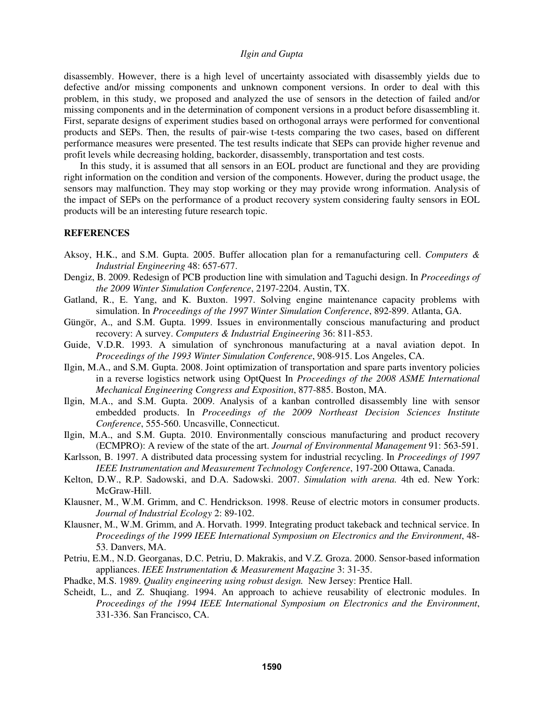disassembly. However, there is a high level of uncertainty associated with disassembly yields due to defective and/or missing components and unknown component versions. In order to deal with this problem, in this study, we proposed and analyzed the use of sensors in the detection of failed and/or missing components and in the determination of component versions in a product before disassembling it. First, separate designs of experiment studies based on orthogonal arrays were performed for conventional products and SEPs. Then, the results of pair-wise t-tests comparing the two cases, based on different performance measures were presented. The test results indicate that SEPs can provide higher revenue and profit levels while decreasing holding, backorder, disassembly, transportation and test costs.

 In this study, it is assumed that all sensors in an EOL product are functional and they are providing right information on the condition and version of the components. However, during the product usage, the sensors may malfunction. They may stop working or they may provide wrong information. Analysis of the impact of SEPs on the performance of a product recovery system considering faulty sensors in EOL products will be an interesting future research topic.

### **REFERENCES**

- Aksoy, H.K., and S.M. Gupta. 2005. Buffer allocation plan for a remanufacturing cell. *Computers & Industrial Engineering* 48: 657-677.
- Dengiz, B. 2009. Redesign of PCB production line with simulation and Taguchi design. In *Proceedings of the 2009 Winter Simulation Conference*, 2197-2204. Austin, TX.
- Gatland, R., E. Yang, and K. Buxton. 1997. Solving engine maintenance capacity problems with simulation. In *Proceedings of the 1997 Winter Simulation Conference*, 892-899. Atlanta, GA.
- Güngör, A., and S.M. Gupta. 1999. Issues in environmentally conscious manufacturing and product recovery: A survey. *Computers & Industrial Engineering* 36: 811-853.
- Guide, V.D.R. 1993. A simulation of synchronous manufacturing at a naval aviation depot. In *Proceedings of the 1993 Winter Simulation Conference*, 908-915. Los Angeles, CA.
- Ilgin, M.A., and S.M. Gupta. 2008. Joint optimization of transportation and spare parts inventory policies in a reverse logistics network using OptQuest In *Proceedings of the 2008 ASME International Mechanical Engineering Congress and Exposition*, 877-885. Boston, MA.
- Ilgin, M.A., and S.M. Gupta. 2009. Analysis of a kanban controlled disassembly line with sensor embedded products. In *Proceedings of the 2009 Northeast Decision Sciences Institute Conference*, 555-560. Uncasville, Connecticut.
- Ilgin, M.A., and S.M. Gupta. 2010. Environmentally conscious manufacturing and product recovery (ECMPRO): A review of the state of the art. *Journal of Environmental Management* 91: 563-591.
- Karlsson, B. 1997. A distributed data processing system for industrial recycling. In *Proceedings of 1997 IEEE Instrumentation and Measurement Technology Conference*, 197-200 Ottawa, Canada.
- Kelton, D.W., R.P. Sadowski, and D.A. Sadowski. 2007. *Simulation with arena.* 4th ed. New York: McGraw-Hill.
- Klausner, M., W.M. Grimm, and C. Hendrickson. 1998. Reuse of electric motors in consumer products. *Journal of Industrial Ecology* 2: 89-102.
- Klausner, M., W.M. Grimm, and A. Horvath. 1999. Integrating product takeback and technical service. In *Proceedings of the 1999 IEEE International Symposium on Electronics and the Environment*, 48- 53. Danvers, MA.
- Petriu, E.M., N.D. Georganas, D.C. Petriu, D. Makrakis, and V.Z. Groza. 2000. Sensor-based information appliances. *IEEE Instrumentation & Measurement Magazine* 3: 31-35.
- Phadke, M.S. 1989. *Quality engineering using robust design.* New Jersey: Prentice Hall.
- Scheidt, L., and Z. Shuqiang. 1994. An approach to achieve reusability of electronic modules. In *Proceedings of the 1994 IEEE International Symposium on Electronics and the Environment*, 331-336. San Francisco, CA.